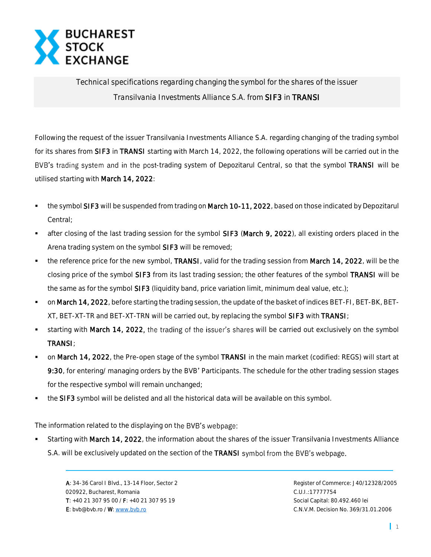

*Technical specifications regarding changing the symbol for the shares of the issuer Transilvania Investments Alliance S.A. from* SIF3 *in* TRANSI

Following the request of the issuer Transilvania Investments Alliance S.A. regarding changing of the trading symbol for its shares from SIF3 in TRANSI starting with March 14, 2022, the following operations will be carried out in the BVB's trading system and in the post-trading system of Depozitarul Central, so that the symbol TRANSI will be utilised starting with March 14, 2022:

- the symbol SIF3 will be suspended from trading on March 10-11, 2022, based on those indicated by Depozitarul Central;
- after closing of the last trading session for the symbol SIF3 (March 9, 2022), all existing orders placed in the Arena trading system on the symbol SIF3 will be removed;
- the reference price for the new symbol, TRANSI, valid for the trading session from March 14, 2022, will be the closing price of the symbol SIF3 from its last trading session; the other features of the symbol TRANSI will be the same as for the symbol SIF3 (liquidity band, price variation limit, minimum deal value, etc.);
- on March 14, 2022, before starting the trading session, the update of the basket of indices BET-FI, BET-BK, BET-XT, BET-XT-TR and BET-XT-TRN will be carried out, by replacing the symbol SIF3 with TRANSI;
- starting with March 14, 2022, the trading of the issuer's shares will be carried out exclusively on the symbol TRANSI;
- on March 14, 2022, the Pre-open stage of the symbol TRANSI in the main market (codified: REGS) will start at 9:30, for entering/ managing orders by the BVB' Participants. The schedule for the other trading session stages for the respective symbol will remain unchanged;
- the SIF3 symbol will be delisted and all the historical data will be available on this symbol.

The information related to the displaying on the BVB's webpage:

Starting with March 14, 2022, the information about the shares of the issuer Transilvania Investments Alliance S.A. will be exclusively updated on the section of the TRANSI symbol from the BVB's webpage.

 A: 34-36 Carol I Blvd., 13-14 Floor, Sector 2 Register of Commerce: J40/12328/2005 020922, Bucharest, Romania C.U.I.:17777754 T: +40 21 307 95 00 / F: +40 21 307 95 19 Social Capital: 80.492.460 lei E: bvb@bvb.ro / W[: www.bvb.ro](http://www.bvb.ro/) C.N.V.M. Decision No. 369/31.01.2006